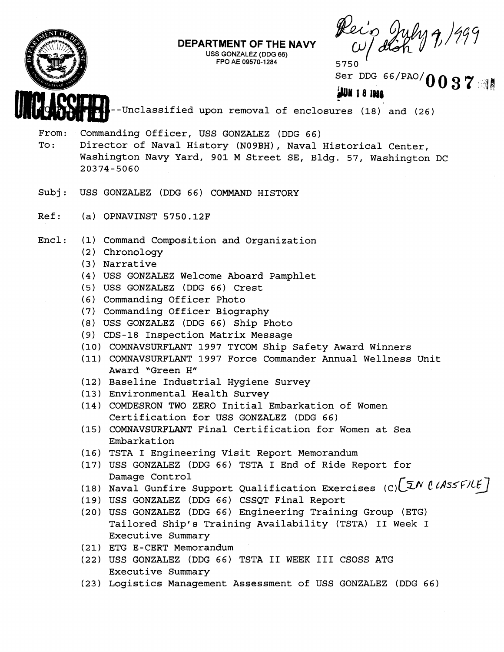

## **DEPARTMENT OF THE NAVY**

I **USS GONZALEZ** (DDG **66) FPO AE 09570-1 284** 

5750 Ser DDG 66/PAO/ $\mathbf{\Omega}$ **0037** 

**k!u 1 8 ID48** 

<sup>1</sup>--Unclassified upon removal of enclosures (18) and (26)

From: Commanding Officer, USS GONZALEZ (DDG 66)

To: Director of Naval History (N09BH), Naval Historical Center, Washington Navy Yard, 901 M Street SE, Bldg. 57, Washington DC 20374-5060

- Subj : USS GONZALEZ (DDG 66) COMMAND HISTORY
- Ref: (a) OPNAVINST 5750.12F
- Encl: (1) Command Composition and Organization
	- (2) Chronology
	- **(3)** Narrative
	- **(4)** USS GONZALEZ Welcome Aboard Pamphlet
	- (5) USS GONZALEZ (DDG 66) Crest
	- (6) Commanding Officer Photo
	- (7) Commanding Officer Biography
	- (8) USS GONZALEZ (DDG 66) Ship Photo
	- (9) CDS-18 Inspection Matrix Message
	- (10) COMNAVSURFLANT 1997 TYCOM Ship Safety Award Winners
	- (11) COMNAVSURFLANT 1997 Force Commander Annual Wellness Unit Award "Green **H"**
	- (12) Baseline Industrial Hygiene Survey
	- (13) Environmental Health Survey
	- (14) COMDESRON TWO ZERO Initial Embarkation of Women Certification for USS GONZALEZ (DDG 66)
	- (15) COMNAVSURFLANT Final Certification for Women at Sea Embarkat ion
	- (16) TSTA I Engineering Visit Report Memorandum
	- (17) USS GONZALEZ (DDG 66) TSTA I End of Ride Report for Damage Control
	- (18) Naval Gunfire Support Qualification Exercises (C)  $\left[\begin{matrix} \mathfrak{T}N & \mathfrak{\ell}\end{matrix}\right]$
	- (19) USS GONZALEZ (DDG 66) CSSQT Final Report
	- (20) USS GONZALEZ (DDG 66) Engineering Training Group (ETG) Tailored Ship's Training Availability (TSTA) I1 Week I Executive Summary
	- (21) ETG E-CERT Memorandum
	- (22) USS GONZALEZ (DDG 66) TSTA **I1** WEEK **I11** CSOSS ATG Executive Summary
	- (23) Logistics Management Assessment of USS GONZALEZ (DDG 66)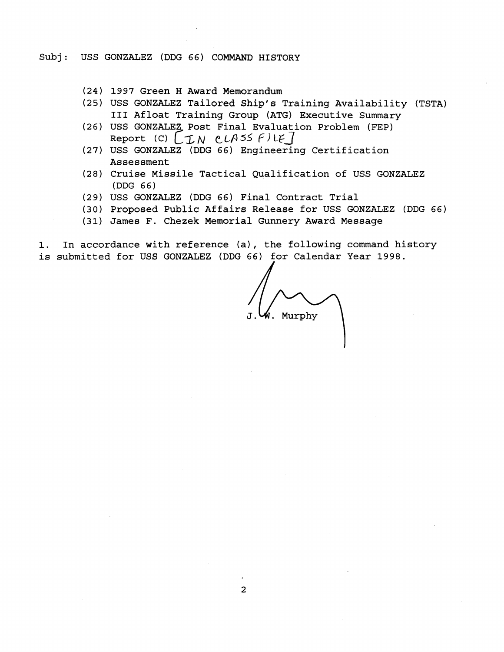- (24) 1997 Green H Award Memorandum
- (25) USS GONZALEZ Tailored Ship's Training Availability (TSTA) **I11** Afloat Training Group (ATG) Executive Summary
- (26) USS GONZALEZ Post Final Evaluation Problem (FEP) Report (C)  $[IN$   $CLAS5$   $F$ <sup>1</sup> $E$ ]
- (27) USS GONZALEZ (DDG 66) Engineering Certification Assessment
- (28) Cruise Missile Tactical Qualification of USS GONZALEZ (DDG 66)
- (29) USS GONZALEZ (DDG 66) Final Contract Trial
- (30) Proposed Public Affairs Release for USS GONZALEZ (DDG 66)
- (31) James F. Chezek Memorial Gunnery Award Message

1. In accordance with reference (a), the following command history is submitted for USS GONZALEZ (DDG 66) for Calendar Year 1998.

W. Murphy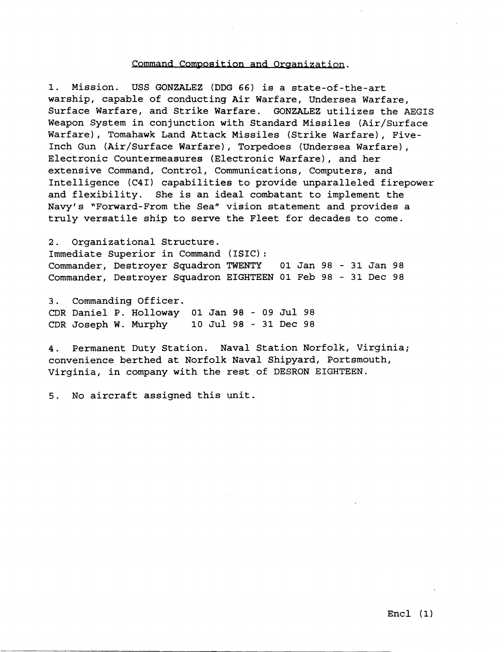## Command Composition and Organization.

1. Mission. USS GONZALEZ (DDG 66) is a state-of-the-art warship, capable of conducting Air Warfare, Undersea Warfare, Surface Warfare, and Strike Warfare. GONZALEZ utilizes the AEGIS Weapon System in conjunction with Standard Missiles (Air/Surface Warfare), Tomahawk Land Attack Missiles (Strike Warfare), Five-Inch Gun (Air/Surface Warfare), Torpedoes (Undersea Warfare), Electronic Countermeasures (Electronic Warfare), and her extensive Command, Control, Communications, Computers, and Intelligence (C4I) capabilities to provide unparalleled firepower and flexibility. She is an ideal combatant to implement the Navy's "Forward-From the Sea" vision statement and provides a truly versatile ship to serve the Fleet for decades to come.

2. Organizational Structure. Immediate Superior in Command (ISIC) : Commander, Destroyer Squadron TWENTY 01 Jan 98 - 31 Jan 98 Commander, Destroyer Squadron EIGHTEEN 01 Feb 98 - 31 Dec 98

3. Commanding Officer. CDR Daniel P. Holloway 01 Jan 98 - 09 Jul 98 CDR Joseph W. Murphy 10 Jul 98 - 31 Dec 98

**4.** Permanent Duty Station. Naval Station Norfolk, Virginia; convenience berthed at Norfolk Naval Shipyard, Portsmouth, Virginia, in company with the rest.of DESRON EIGHTEEN.

5. No aircraft assigned this unit.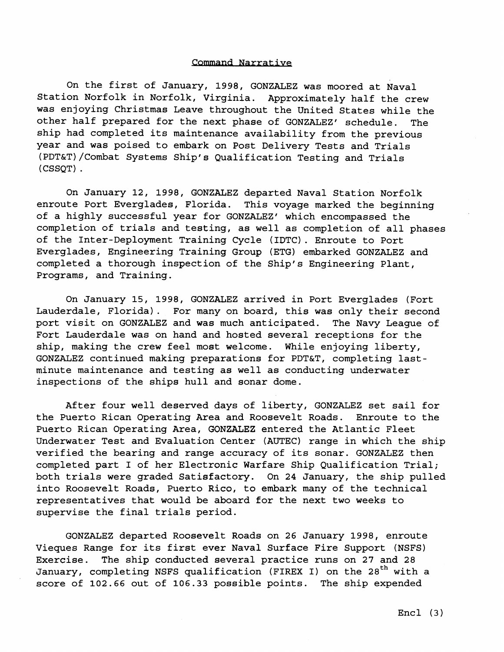## Command Narrative

On the first of January, 1998, GONZALEZ was moored at Naval Station Norfolk in Norfolk, Virginia. Approximately half the crew was enjoying Christmas Leave throughout the United States while the other half prepared for the next phase of GONZALEZ' schedule. The ship had completed its maintenance availability from the previous year and was poised to embark on Post Delivery Tests and Trials (PDT&T)/Combat Systems Ship's Qualification Testing and Trials (CSSQT) .

On January 12, 1998, GONZALEZ departed Naval Station Norfolk enroute Port Everglades, Florida. This voyage marked the beginning of a highly successful year for GONZALEZ' which encompassed the completion of trials and testing, as well as completion of all phases of the Inter-Deployment Training Cycle (IDTC) . Enroute to Port Everglades, Engineering Training Group (ETG) embarked GONZALEZ and completed a thorough inspection of the Ship's Engineering Plant, Programs, and Training.

On January 15, 1998, GONZALEZ arrived in Port Everglades (Fort Lauderdale, Florida). For many on board, this was only their second port visit on GONZALEZ and was much anticipated. The Navy League of Fort Lauderdale was on hand and hosted several receptions for the ship, making the crew feel most welcome. While enjoying liberty, GONZALEZ continued making preparations for PDT&T, completing lastminute maintenance and testing as well as conducting underwater inspections of the ships hull and sonar dome.

After four well deserved days of liberty, GONZALEZ set sail for the Puerto Rican Operating Area and Roosevelt Roads. Enroute to the Puerto Rican Operating Area, GONZALEZ entered the Atlantic Fleet Underwater Test and Evaluation Center (AUTEC) range in which the ship verified the bearing and range accuracy of its sonar. GONZALEZ then completed part I of her Electronic Warfare Ship Qualification Trial; both trials were graded Satisfactory. On 24 January, the ship pulled into Roosevelt Roads, Puerto Rico, to embark many of the technical representatives that would be aboard for the next two weeks to supervise the final trials period.

GONZALEZ departed Roosevelt Roads on 26 January 1998, enroute Vieques Range for its first ever Naval Surface Fire Support (NSFS) Exercise. The ship conducted several practice runs on 27 and 28 January, completing NSFS qualification (FIREX I) on the 28<sup>th</sup> with a score of 102.66 out of 106.33 possible points. The ship expended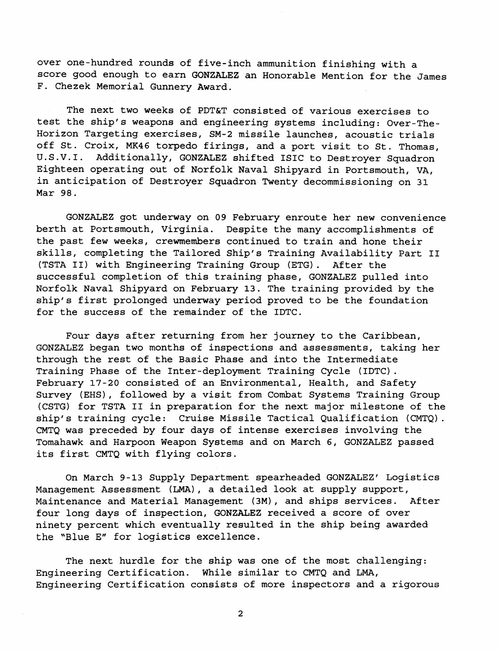over one-hundred rounds of five-inch ammunition finishing with a score good enough to earn GONZALEZ an Honorable Mention for the James F. Chezek Memorial Gunnery Award.

The next two weeks of PDT&T consisted of various exercises to test the ship's weapons and engineering systems including: Over-The-Horizon Targeting exercises, SM-2 missile launches, acoustic trials off St. Croix, MK46 torpedo firings, and a port visit to St. Thomas, U.S.V.I. Additionally, GONZALEZ shifted ISIC to Destroyer Squadron Eighteen operating out of Norfolk Naval Shipyard in Portsmouth, VA, in anticipation of Destroyer Squadron Twenty decommissioning on 31 Mar 98.

GONZALEZ got underway on 09 February enroute her new convenience berth at Portsmouth, Virginia. Despite the many accomplishments of the past few weeks, crewmembers continued to train and hone their skills, completing the Tailored Ship's Training Availability Part I1 (TSTA 11) with Engineering Training Group (ETG). After the successful completion of this training phase, GONZALEZ pulled into Norfolk Naval Shipyard on February 13. The training provided by the ship's first prolonged underway period proved to be the foundation for the success of the remainder of the IDTC.

Four days after returning from her journey to the Caribbean, GONZALEZ began two months of inspections and assessments, taking her through the rest of the Basic Phase and into the Intermediate Training Phase of the Inter-deployment Training Cycle (IDTC). February 17-20 consisted of an Environmental, Health, and Safety Survey (EHS), followed by a visit from Combat Systems Training Group (CSTG) for TSTA I1 in preparation for the next major milestone of the ship's training cycle: Cruise Missile Tactical Qualification (CMTQ) . CMTQ was preceded by four days of intense exercises involving the Tomahawk and Harpoon Weapon Systems and on March 6, GONZALEZ passed its first CMTQ with flying colors.

On March 9-13 Supply Department spearheaded GONZALEZ' Logistics Management Assessment **(LMA)** , a detailed look at supply support, Maintenance and Material Management (3M), and ships services. After four long days of inspection, GONZALEZ received a score of over ninety percent which eventually resulted in the ship being awarded the "Blue E" for logistics excellence.

The next hurdle for the ship was one of the most challenging: Engineering Certification. While similar to CMTQ and LMA, Engineering Certification consists of more inspectors and a rigorous

 $\overline{2}$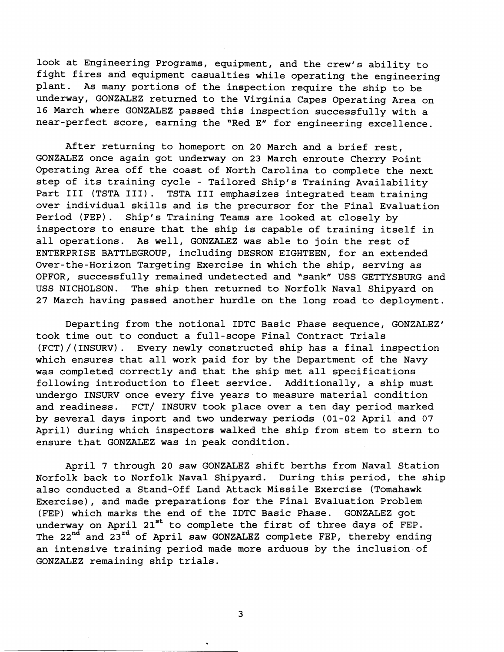look at Engineering Programs, equipment, and the crew's ability to fight fires and equipment casualties while operating the engineering plant. As many portions of the inspection require the ship to be underway, GONZALEZ returned to the Virginia Capes Operating Area on 16 March where GONZALEZ passed this inspection successfully with a near-perfect score, earning the "Red E" for engineering excellence.

After returning to homeport on 20 March and a brief rest, GONZALEZ once again got underway on 23 March enroute Cherry Point Operating Area off the coast of North Carolina to complete the next step of its training cycle - Tailored Ship's Training Availability Part I11 (TSTA 111). TSTA I11 emphasizes integrated team training over individual skills and is the precursor for the Final Evaluation Period (FEP) . Ship's Training Teams are looked at closely by inspectors to ensure that the ship is capable of training itself in all operations. As well, GONZALEZ was able to join the rest of ENTERPRISE BATTLEGROUP, including DESRON EIGHTEEN, for an extended Over-the-Horizon Targeting Exercise in which the ship, serving as OPFOR, successfully remained undetected and "sank" USS GETTYSBURG and USS NICHOLSON. The ship then returned to Norfolk Naval Shipyard on 27 March having passed another hurdle on the long road to deployment.

Departing from the notional IDTC Basic Phase sequence, GONZALEZ' took time out to conduct a full-scope Final Contract Trials (FCT)/(INSURV). Every newly constructed ship has a final inspection which ensures that all work paid for by the Department of the Navy was completed correctly and that the ship met all specifications following introduction to fleet service. Additionally, a ship must undergo INSURV once every five years to measure material condition and readiness. FCT/ INSURV took place over a ten day period marked by several days inport and two underway periods (01-02 April and 07 April) during which inspectors walked the ship from stem to stern to ensure that GONZALEZ was in peak condition.

April 7 through 20 saw GONZALEZ shift berths from Naval Station Norfolk back to Norfolk Naval Shipyard. During this period, the ship also conducted a Stand-Off Land Attack Missile Exercise (Tomahawk Exercise), and made preparations for the Final Evaluation Problem (FEP) which marks the end of the IDTC Basic Phase. GONZALEZ got underway on April 21<sup>st</sup> to complete the first of three days of FEP. The **22nd** and **23rd** of April saw GONZALEZ complete FEP, thereby ending an intensive training period made more arduous by the inclusion of GONZALEZ remaining ship trials.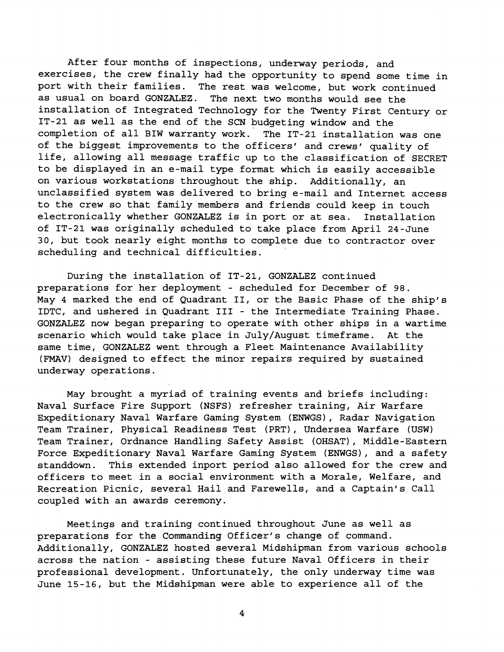After four months of inspections, underway periods, and exercises, the crew finally had the opportunity to spend some time in port with their families. The rest was welcome, but work continued as usual on board GONZALEZ. The next two months would see the installation of Integrated Technology for the Twenty First Century or IT-21 as well as the end of the SCN budgeting window and the completion of all BIW warranty work. The IT-21 installation was one of the biggest improvements to the officers' and crews' quality of life, allowing all message traffic up to the classification of SECRET to be displayed in an e-mail type format which is easily accessible on various workstations throughout the ship. Additionally, an unclassified system was delivered to bring e-mail and Internet access to the crew so that family members and friends could keep in touch electronically whether GONZALEZ is in port or at sea. Installation of IT-21 was originally scheduled to take place from April 24-June 30, but took nearly eight months to complete due to contractor over scheduling and technical difficulties.

During the installation of IT-21, GONZALEZ continued preparations for her deployment - scheduled for December of 98. May 4 marked the end of Quadrant 11, or the Basic Phase of the ship's IDTC, and ushered in Quadrant 111 - the Intermediate Training Phase. GONZALEZ now began preparing to operate with other ships in a wartime scenario which would take place in July/August timeframe. At the same time, GONZALEZ went through a Fleet Maintenance Availability (FMAV) designed to effect the minor repairs required by sustained underway operations.

May brought a myriad of training events and briefs including: Naval Surface Fire Support (NSFS) refresher training, Air Warfare Expeditionary Naval Warfare Gaming System (ENWGS), Radar Navigation Team Trainer, Physical Readiness Test (PRT), Undersea Warfare (USW) Team Trainer, Ordnance Handling Safety Assist (OHSAT), Middle-Eastern Force Expeditionary Naval Warfare Gaming System (ENWGS), and a safety standdown. This extended inport period also allowed for the crew and officers to meet in a social environment with a Morale, Welfare, and Recreation Picnic, several Hail and Farewells, and a Captain's Call coupled with an awards ceremony.

Meetings and training continued throughout June as well as preparations for the Commanding Officer's change of command. Additionally, GONZALEZ hosted several Midshipman from various schools across the nation - assisting these future Naval Officers in their professional development. Unfortunately, the only underway time was June 15-16, but the Midshipman were able to experience all of the

 $\overline{\bf 4}$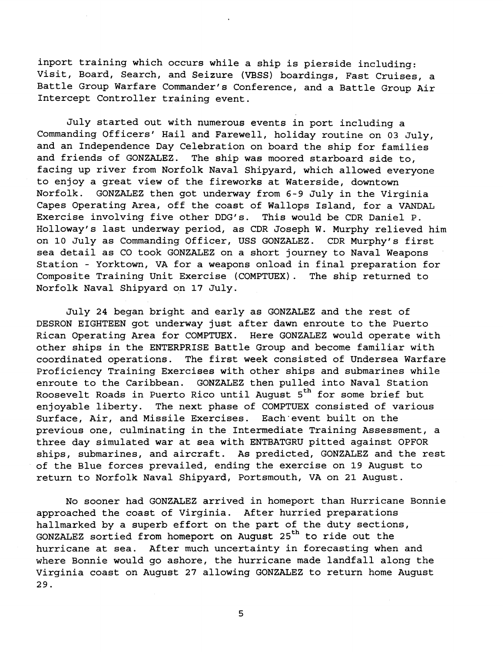inport training which occurs while a ship is pierside including: Visit, Board, Search, and Seizure (VBSS) boardings, Fast Cruises, a Battle Group Warfare Commander's Conference, and a Battle Group Air Intercept Controller training event.

July started out with numerous events in port including a Commanding Officers' Hail and Farewell, holiday routine on **03** July, and an Independence Day Celebration on board the ship for families and friends of GONZALEZ. The ship was moored starboard side to, facing up river from Norfolk Naval Shipyard, which allowed everyone to enjoy a great view of the fireworks at Waterside, downtown Norfolk. GONZALEZ then got underway from **6-9** July in the Virginia Capes Operating Area, off the coast of Wallops Island, for a VANDAL Exercise involving five other DDG's. This would be CDR Daniel P. Holloway's last underway period, as CDR Joseph W. Murphy relieved him on **10** July as Commanding Officer, USS GONZALEZ. CDR Murphy's first sea detail as CO took GONZALEZ on a short journey to Naval Weapons Station - Yorktown, VA for a weapons onload in final preparation for Composite Training Unit Exercise (COMPTUEX). The ship returned to Norfolk Naval Shipyard on **17** July.

July **24** began bright and early as GONZALEZ and the rest of DESRON EIGHTEEN got underway just after dawn enroute to the Puerto Rican Operating Area for COMPTUEX. Here GONZALEZ would operate with other ships in the ENTERPRISE Battle Group and become familiar with coordinated operations. The first week consisted of Undersea Warfare Proficiency Training Exercises with other ships and submarines while enroute to the Caribbean. GONZALEZ then pulled into Naval Station Roosevelt Roads in Puerto Rico until August **5th** for some brief but enjoyable liberty. The next phase of COMPTUEX consisted of various Surface, Air, and Missile Exercises. Each'event built on the previous one, culminating in the Intermediate Training Assessment, a three day simulated war at sea with ENTBATGRU pitted against OPFOR ships, submarines, and aircraft. As predicted, GONZALEZ and the rest of the Blue forces prevailed, ending the exercise on **19** August to return to Norfolk Naval Shipyard, Portsmouth, VA on **21** August.

No sooner had GONZALEZ arrived in homeport than Hurricane Bonnie approached the coast of Virginia. After hurried preparations hallmarked by a superb effort on the part of the duty sections, GONZALEZ sortied from homeport on August **25th** to ride out the hurricane at sea. After much uncertainty in forecasting when and where Bonnie would go ashore, the hurricane made landfall along the Virginia coast on August **27** allowing GONZALEZ to return home August **29.** 

5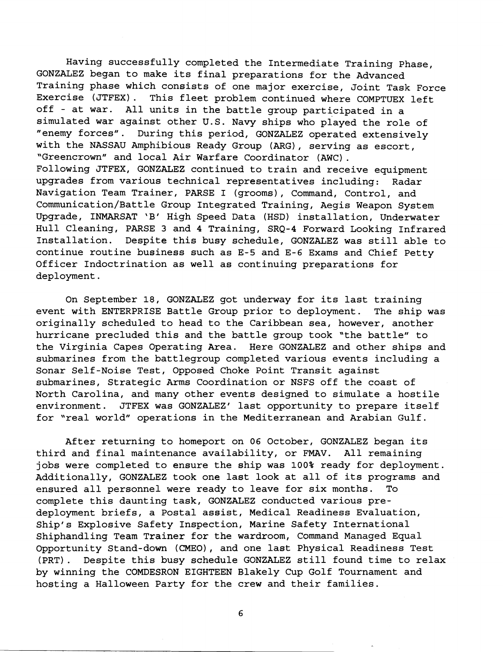Having successfully completed the Intermediate Training Phase, GONZALEZ began to make its final preparations for the Advanced Training phase which consists of one major exercise, Joint Task Force This fleet problem continued where COMPTUEX left off - at war. All units in the battle group participated in a simulated war against other U.S. Navy ships who played the role of "enemy forces". During this period, GONZALEZ operated extensively with the NASSAU Amphibious Ready Group (ARG), serving as escort, "Greencrown" and local Air Warfare Coordinator (AWC) . Following JTFEX, GONZALEZ continued to train and receive equipment upgrades from various technical representatives including: Radar Navigation Team Trainer, PARSE I (grooms), Command, Control, and Communication/Battle Group Integrated Training, Aegis Weapon System Upgrade, INMARSAT 'B' High Speed Data (HSD) installation, Underwater Hull Cleaning, PARSE 3 and 4 Training, SRQ-4 Forward Looking Infrared Installation. Despite this busy schedule, GONZALEZ was still able to continue routine business such as E-5 and E-6 Exams and Chief Petty Officer Indoctrination as well as continuing preparations for deployment.

On September 18, GONZALEZ got underway for its last training event with ENTERPRISE Battle Group prior to deployment. The ship was originally scheduled to head to the Caribbean sea, however, another hurricane precluded this and the battle group took "the battle" to the Virginia Capes Operating Area. Here GONZALEZ and other ships and submarines from the battlegroup completed various events including a Sonar Self-Noise Test, Opposed Choke Point Transit against submarines, Strategic Arms Coordination or NSFS off the coast of North Carolina, and many other events designed to simulate a hostile environment. JTFEX was GONZALEZ' last opportunity to prepare itself for 'real world" operations in the Mediterranean and Arabian Gulf.

After returning to homeport on **06** October, GONZALEZ began its third and final maintenance availability, or FMAV. All remaining jobs were completed to ensure the ship was **100%** ready for deployment. Additionally, GONZALEZ took one last look at all of its programs and ensured all personnel were ready to leave for six months. To complete this daunting task, GONZALEZ conducted various predeployment briefs, a Postal assist, Medical Readiness Evaluation, Ship's Explosive Safety Inspection, Marine Safety International Shiphandling Team Trainer for the wardroom, Command Managed Equal Opportunity Stand-down (CMEO), and one last Physical Readiness Test (PRT). Despite this busy schedule GONZALEZ still found time to relax by winning the COMDESRON EIGHTEEN Blakely Cup Golf Tournament and hosting a Halloween Party for the crew and their families.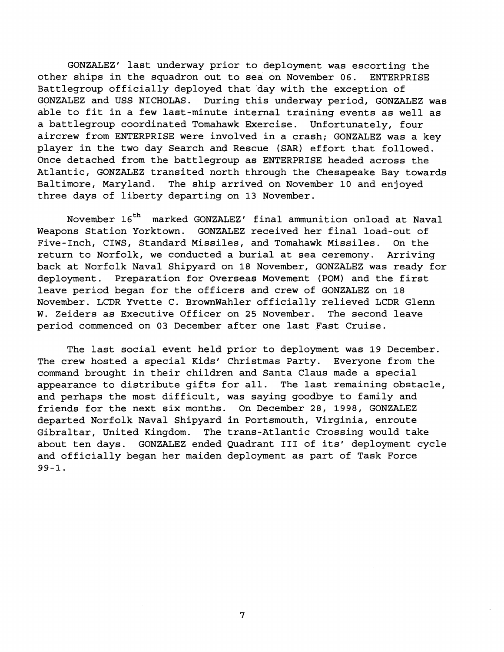GONZALEZ' last underway prior to deployment was escorting the other ships in the squadron out to sea on November 06. ENTERPRISE Battlegroup officially deployed that day with the exception of GONZALEZ and USS NICHOLAS. During this underway period, GONZALEZ was able to fit in a few last-minute internal training events as well as a battlegroup coordinated Tomahawk Exercise. Unfortunately, four aircrew from ENTERPRISE were involved in a crash; GONZALEZ was a key player in the two day Search and Rescue (SAR) effort that followed. Once detached from the battlegroup as ENTERPRISE headed across the Atlantic, GONZALEZ transited north through the Chesapeake Bay towards Baltimore, Maryland. The ship arrived on November 10 and enjoyed three days of liberty departing on 13 November.

November 16<sup>th</sup> marked GONZALEZ' final ammunition onload at Naval Weapons Station Yorktown. GONZALEZ received her final load-out of Five-Inch, CIWS, Standard Missiles, and Tomahawk Missiles. On the return to Norfolk, we conducted a burial at sea ceremony. Arriving back at Norfolk Naval Shipyard on 18 November, GONZALEZ was ready for deployment. Preparation for Overseas Movement (POM) and the first leave period began for the officers and crew of GONZALEZ on 18 November. LCDR Yvette C. BrownWahler officially relieved LCDR Glenn W. Zeiders as Executive Officer on 25 November. The second leave period commenced on 03 December after one last Fast Cruise.

The last social event held prior to deployment was 19 December. The crew hosted a special Kids' Christmas Party. Everyone from the command brought in their children and Santa Claus made a special appearance to distribute gifts for all. The last remaining obstacle, and perhaps the most difficult, was saying goodbye to family and friends for the next six months. On December 28, 1998, GONZALEZ departed Norfolk Naval Shipyard in Portsmouth, Virginia, enroute Gibraltar, United Kingdom. The trans-Atlantic Crossing would take about ten days. GONZALEZ ended Quadrant I11 of its' deployment cycle and officially began her maiden deployment as part of Task Force 99-1.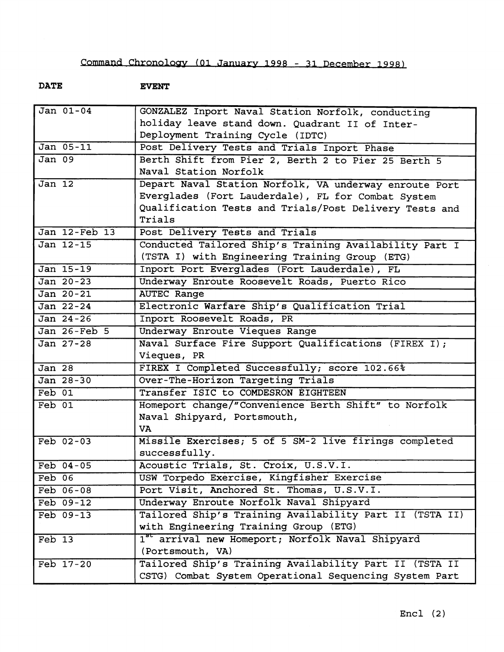**DATE EVENT** 

| $\overline{Jan}$ 01-04 | GONZALEZ Inport Naval Station Norfolk, conducting            |
|------------------------|--------------------------------------------------------------|
|                        | holiday leave stand down. Quadrant II of Inter-              |
|                        | Deployment Training Cycle (IDTC)                             |
| Jan 05-11              | Post Delivery Tests and Trials Inport Phase                  |
| <b>Jan 09</b>          | Berth Shift from Pier 2, Berth 2 to Pier 25 Berth 5          |
|                        | Naval Station Norfolk                                        |
| $Jan$ $12$             | Depart Naval Station Norfolk, VA underway enroute Port       |
|                        | Everglades (Fort Lauderdale), FL for Combat System           |
|                        | Qualification Tests and Trials/Post Delivery Tests and       |
|                        | Trials                                                       |
| Jan 12-Feb 13          | Post Delivery Tests and Trials                               |
| Jan 12-15              | Conducted Tailored Ship's Training Availability Part I       |
|                        | (TSTA I) with Engineering Training Group (ETG)               |
| Jan 15-19              | Inport Port Everglades (Fort Lauderdale), FL                 |
| Jan 20-23              | Underway Enroute Roosevelt Roads, Puerto Rico                |
| Jan 20-21              | <b>AUTEC Range</b>                                           |
| Jan 22-24              | Electronic Warfare Ship's Qualification Trial                |
| $Jan 24-26$            | Inport Roosevelt Roads, PR                                   |
| Jan 26-Feb 5           | Underway Enroute Vieques Range                               |
| Jan 27-28              | Naval Surface Fire Support Qualifications (FIREX I);         |
|                        | Vieques, PR                                                  |
| $\overline{Jan}$ 28    | FIREX I Completed Successfully; score 102.66%                |
| Jan 28-30              | Over-The-Horizon Targeting Trials                            |
| Feb 01                 | Transfer ISIC to COMDESRON EIGHTEEN                          |
| $Feb$ 01               | Homeport change/"Convenience Berth Shift" to Norfolk         |
|                        | Naval Shipyard, Portsmouth,                                  |
|                        | VA                                                           |
| $Feb 02-03$            | Missile Exercises; 5 of 5 SM-2 live firings completed        |
|                        | successfully.                                                |
| $Feb$ $04-05$          | Acoustic Trials, St. Croix, U.S.V.I.                         |
| Feb 06                 | USW Torpedo Exercise, Kingfisher Exercise                    |
| Feb 06-08              | Port Visit, Anchored St. Thomas, U.S.V.I.                    |
| $Feb 09-12$            | Underway Enroute Norfolk Naval Shipyard                      |
| Feb 09-13              | Tailored Ship's Training Availability Part II (TSTA II)      |
|                        | with Engineering Training Group (ETG)                        |
| Feb 13                 | 1 <sup>86</sup> arrival new Homeport; Norfolk Naval Shipyard |
|                        | (Portsmouth, VA)                                             |
| Feb 17-20              | Tailored Ship's Training Availability Part II (TSTA II       |
|                        | CSTG) Combat System Operational Sequencing System Part       |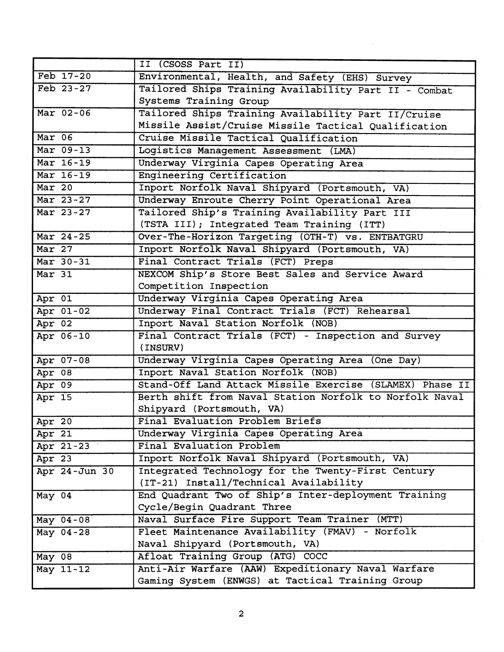|               | II (CSOSS Part II)                                       |
|---------------|----------------------------------------------------------|
| Feb 17-20     | Environmental, Health, and Safety (EHS) Survey           |
| Feb 23-27     | Tailored Ships Training Availability Part II - Combat    |
|               | Systems Training Group                                   |
| Mar 02-06     | Tailored Ships Training Availability Part II/Cruise      |
|               | Missile Assist/Cruise Missile Tactical Qualification     |
| $Mar$ 06      | Cruise Missile Tactical Qualification                    |
| Mar 09-13     | Logistics Management Assessment (LMA)                    |
| Mar 16-19     | Underway Virginia Capes Operating Area                   |
| Mar 16-19     | Engineering Certification                                |
| Mar 20        | Inport Norfolk Naval Shipyard (Portsmouth, VA)           |
| Mar 23-27     | Underway Enroute Cherry Point Operational Area           |
| Mar 23-27     | Tailored Ship's Training Availability Part III           |
|               | (TSTA III); Integrated Team Training (ITT)               |
| Mar 24-25     | Over-The-Horizon Targeting (OTH-T) vs. ENTBATGRU         |
| Mar 27        | Inport Norfolk Naval Shipyard (Portsmouth, VA)           |
| Mar 30-31     | Final Contract Trials (FCT) Preps                        |
| $Mar$ 31      | NEXCOM Ship's Store Best Sales and Service Award         |
|               | Competition Inspection                                   |
| Apr 01        | Underway Virginia Capes Operating Area                   |
| Apr 01-02     | Underway Final Contract Trials (FCT) Rehearsal           |
| Apr 02        | Inport Naval Station Norfolk (NOB)                       |
| Apr 06-10     | Final Contract Trials (FCT) - Inspection and Survey      |
|               | (INSURV)                                                 |
| Apr 07-08     | Underway Virginia Capes Operating Area (One Day)         |
| Apr 08        | Inport Naval Station Norfolk (NOB)                       |
| Apr 09        | Stand-Off Land Attack Missile Exercise (SLAMEX) Phase II |
| Apr 15        | Berth shift from Naval Station Norfolk to Norfolk Naval  |
|               | Shipyard (Portsmouth, VA)                                |
| Apr 20        | Final Evaluation Problem Briefs                          |
| Apr 21        | Underway Virginia Capes Operating Area                   |
| Apr 21-23     | Final Evaluation Problem                                 |
| Apr 23        | Inport Norfolk Naval Shipyard (Portsmouth, VA)           |
| Apr 24-Jun 30 | Integrated Technology for the Twenty-First Century       |
|               | (IT-21) Install/Technical Availability                   |
| May 04        | End Quadrant Two of Ship's Inter-deployment Training     |
|               | Cycle/Begin Quadrant Three                               |
| May 04-08     | Naval Surface Fire Support Team Trainer (MTT)            |
| May $04-28$   | Fleet Maintenance Availability (FMAV) - Norfolk          |
|               | Naval Shipyard (Portsmouth, VA)                          |
| May 08        | Afloat Training Group (ATG) COCC                         |
| May 11-12     | Anti-Air Warfare (AAW) Expeditionary Naval Warfare       |
|               | Gaming System (ENWGS) at Tactical Training Group         |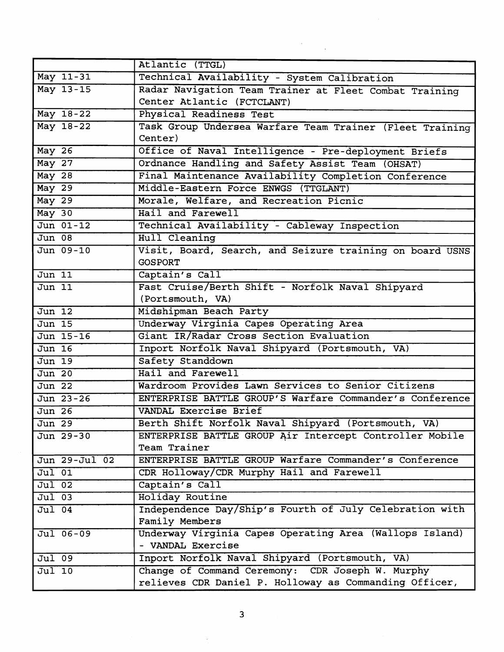|                            | Atlantic (TTGL)                                          |
|----------------------------|----------------------------------------------------------|
| May 11-31                  | Technical Availability - System Calibration              |
| May 13-15                  | Radar Navigation Team Trainer at Fleet Combat Training   |
|                            | Center Atlantic (FCTCLANT)                               |
| May 18-22                  | Physical Readiness Test                                  |
| May 18-22                  | Task Group Undersea Warfare Team Trainer (Fleet Training |
|                            | Center)                                                  |
| <b>May 26</b>              | Office of Naval Intelligence - Pre-deployment Briefs     |
| <b>May 27</b>              | Ordnance Handling and Safety Assist Team (OHSAT)         |
| $May$ 28                   | Final Maintenance Availability Completion Conference     |
| $May$ 29                   | Middle-Eastern Force ENWGS (TTGLANT)                     |
| May 29                     | Morale, Welfare, and Recreation Picnic                   |
| May 30                     | Hail and Farewell                                        |
| Jun 01-12                  | Technical Availability - Cableway Inspection             |
| $Jun$ 08                   | Hull Cleaning                                            |
| Jun 09-10                  | Visit, Board, Search, and Seizure training on board USNS |
|                            | <b>GOSPORT</b>                                           |
| $\overline{Jun}$ 11        | Captain's Call                                           |
| $J$ un $11$                | Fast Cruise/Berth Shift - Norfolk Naval Shipyard         |
|                            | (Portsmouth, VA)                                         |
| Jun 12                     | Midshipman Beach Party                                   |
| Jun 15                     | Underway Virginia Capes Operating Area                   |
| Jun 15-16                  | Giant IR/Radar Cross Section Evaluation                  |
| $\overline{Jun}$ 16        | Inport Norfolk Naval Shipyard (Portsmouth, VA)           |
| Jun 19                     | Safety Standdown                                         |
| Jun 20                     | Hail and Farewell                                        |
| Jun 22                     | Wardroom Provides Lawn Services to Senior Citizens       |
| Jun 23-26                  | ENTERPRISE BATTLE GROUP'S Warfare Commander's Conference |
| <b>Jun 26</b>              | VANDAL Exercise Brief                                    |
| Jun 29                     | Berth Shift Norfolk Naval Shipyard (Portsmouth, VA)      |
| Jun 29-30                  | ENTERPRISE BATTLE GROUP Air Intercept Controller Mobile  |
|                            | Team Trainer                                             |
| Jun 29-Jul 02              | ENTERPRISE BATTLE GROUP Warfare Commander's Conference   |
| $\overline{Ju1}$ 01        | CDR Holloway/CDR Murphy Hail and Farewell                |
| $\overline{\text{Jul}}$ 02 | Captain's Call                                           |
| $Jul$ 03                   | Holiday Routine                                          |
| $Jul$ 04                   | Independence Day/Ship's Fourth of July Celebration with  |
|                            | Family Members                                           |
| Jul 06-09                  | Underway Virginia Capes Operating Area (Wallops Island)  |
|                            | - VANDAL Exercise                                        |
| Jul 09                     | Inport Norfolk Naval Shipyard (Portsmouth, VA)           |
| $\overline{Ju1}$ 10        | Change of Command Ceremony: CDR Joseph W. Murphy         |
|                            | relieves CDR Daniel P. Holloway as Commanding Officer,   |

 $\hat{\mathcal{F}}$ 

 $\mathbb{R}^2$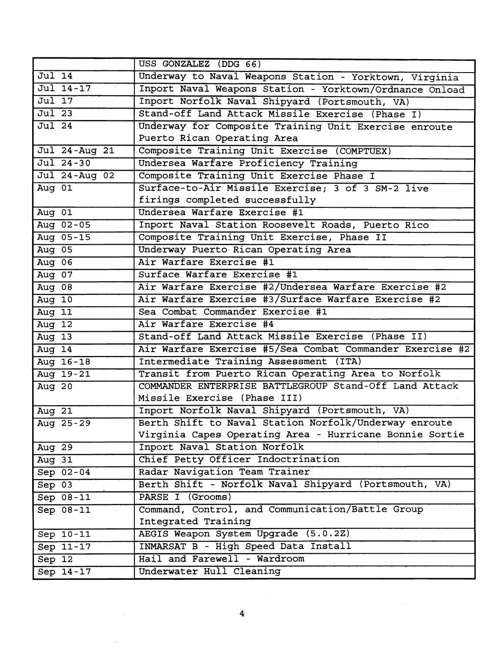|                     | USS GONZALEZ (DDG 66)                                    |
|---------------------|----------------------------------------------------------|
| $\overline{Jul}$ 14 | Underway to Naval Weapons Station - Yorktown, Virginia   |
| Jul 14-17           | Inport Naval Weapons Station - Yorktown/Ordnance Onload  |
| Jul 17              | Inport Norfolk Naval Shipyard (Portsmouth, VA)           |
| $\overline{Ju1}$ 23 | Stand-off Land Attack Missile Exercise (Phase I)         |
| $Jul$ 24            | Underway for Composite Training Unit Exercise enroute    |
|                     | Puerto Rican Operating Area                              |
| Jul 24-Aug 21       | Composite Training Unit Exercise (COMPTUEX)              |
| Jul 24-30           | Undersea Warfare Proficiency Training                    |
| Jul 24-Aug 02       | Composite Training Unit Exercise Phase I                 |
| Aug 01              | Surface-to-Air Missile Exercise; 3 of 3 SM-2 live        |
|                     | firings completed successfully                           |
| Aug 01              | Undersea Warfare Exercise #1                             |
| Aug 02-05           | Inport Naval Station Roosevelt Roads, Puerto Rico        |
| Aug 05-15           | Composite Training Unit Exercise, Phase II               |
| Aug 05              | Underway Puerto Rican Operating Area                     |
| Aug 06              | Air Warfare Exercise #1                                  |
| Aug $07$            | Surface Warfare Exercise #1                              |
| Aug 08              | Air Warfare Exercise #2/Undersea Warfare Exercise #2     |
| Aug $10$            | Air Warfare Exercise #3/Surface Warfare Exercise #2      |
| Aug 11              | Sea Combat Commander Exercise #1                         |
| Aug $12$            | Air Warfare Exercise #4                                  |
| Aug $13$            | Stand-off Land Attack Missile Exercise (Phase II)        |
| Aug 14              | Air Warfare Exercise #5/Sea Combat Commander Exercise #2 |
| Aug 16-18           | Intermediate Training Assessment (ITA)                   |
| Aug 19-21           | Transit from Puerto Rican Operating Area to Norfolk      |
| Aug 20              | COMMANDER ENTERPRISE BATTLEGROUP Stand-Off Land Attack   |
|                     | Missile Exercise (Phase III)                             |
| Aug $21$            | Inport Norfolk Naval Shipyard (Portsmouth, VA)           |
| Aug 25-29           | Berth Shift to Naval Station Norfolk/Underway enroute    |
|                     | Virginia Capes Operating Area - Hurricane Bonnie Sortie  |
| Aug 29              | Inport Naval Station Norfolk                             |
| Aug 31              | Chief Petty Officer Indoctrination                       |
| Sep 02-04           | Radar Navigation Team Trainer                            |
| $Sep$ $03$          | Berth Shift - Norfolk Naval Shipyard (Portsmouth, VA)    |
| $Sep 08-11$         | PARSE I (Grooms)                                         |
| Sep 08-11           | Command, Control, and Communication/Battle Group         |
|                     | Integrated Training                                      |
| $Sep 10-11$         | AEGIS Weapon System Upgrade (5.0.2Z)                     |
| Sep 11-17           | INMARSAT B - High Speed Data Install                     |
| Sep 12              | Hail and Farewell - Wardroom                             |
| Sep 14-17           | Underwater Hull Cleaning                                 |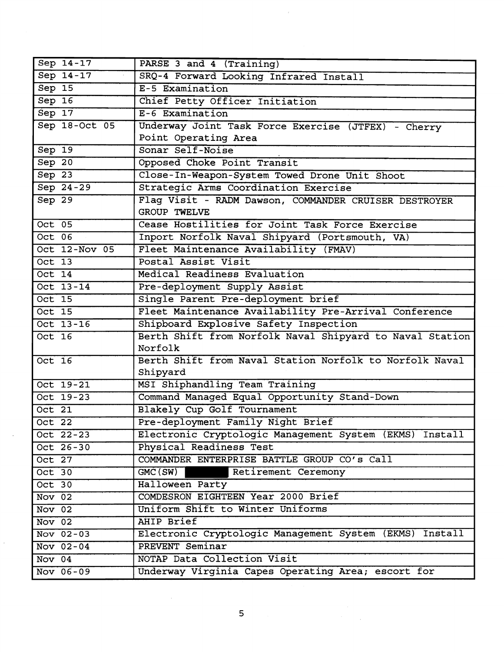| Sep 14-17     | PARSE 3 and 4 (Training)                                              |
|---------------|-----------------------------------------------------------------------|
| Sep 14-17     | SRQ-4 Forward Looking Infrared Install                                |
| Sep 15        | E-5 Examination                                                       |
| Sep 16        | Chief Petty Officer Initiation                                        |
| Sep 17        | E-6 Examination                                                       |
| Sep 18-Oct 05 | Underway Joint Task Force Exercise (JTFEX) - Cherry                   |
|               | Point Operating Area                                                  |
| $Sep$ 19      | Sonar Self-Noise                                                      |
| Sep 20        | Opposed Choke Point Transit                                           |
| Sep 23        | Close-In-Weapon-System Towed Drone Unit Shoot                         |
| Sep 24-29     | Strategic Arms Coordination Exercise                                  |
| Sep 29        | Flag Visit - RADM Dawson, COMMANDER CRUISER DESTROYER<br>GROUP TWELVE |
| $Oct$ 05      | Cease Hostilities for Joint Task Force Exercise                       |
| $Oct$ 06      | Inport Norfolk Naval Shipyard (Portsmouth, VA)                        |
| Oct 12-Nov 05 | Fleet Maintenance Availability (FMAV)                                 |
| Oct $13$      | Postal Assist Visit                                                   |
| Oct 14        | Medical Readiness Evaluation                                          |
| Oct 13-14     | Pre-deployment Supply Assist                                          |
| Oct 15        | Single Parent Pre-deployment brief                                    |
| $Oct$ 15      | Fleet Maintenance Availability Pre-Arrival Conference                 |
| Oct 13-16     | Shipboard Explosive Safety Inspection                                 |
| Oct 16        | Berth Shift from Norfolk Naval Shipyard to Naval Station              |
|               | Norfolk                                                               |
| Oct 16        | Berth Shift from Naval Station Norfolk to Norfolk Naval               |
|               | Shipyard                                                              |
| Oct 19-21     | MSI Shiphandling Team Training                                        |
| Oct 19-23     | Command Managed Equal Opportunity Stand-Down                          |
| Oct $21$      | Blakely Cup Golf Tournament                                           |
| Oct $22$      | Pre-deployment Family Night Brief                                     |
| Oct 22-23     | Electronic Cryptologic Management System (EKMS) Install               |
| Oct 26-30     | Physical Readiness Test                                               |
| Oct $27$      | COMMANDER ENTERPRISE BATTLE GROUP CO'S Call                           |
| Oct 30        | GMC(SW)<br>Retirement Ceremony                                        |
| $Oct$ 30      | Halloween Party                                                       |
| Nov 02        | COMDESRON EIGHTEEN Year 2000 Brief                                    |
| Nov 02        | Uniform Shift to Winter Uniforms                                      |
| Nov 02        | <b>AHIP Brief</b>                                                     |
| Nov $02-03$   | Electronic Cryptologic Management System (EKMS) Install               |
| Nov $02-04$   | PREVENT Seminar                                                       |
| Nov 04        | NOTAP Data Collection Visit                                           |
| Nov 06-09     | Underway Virginia Capes Operating Area; escort for                    |